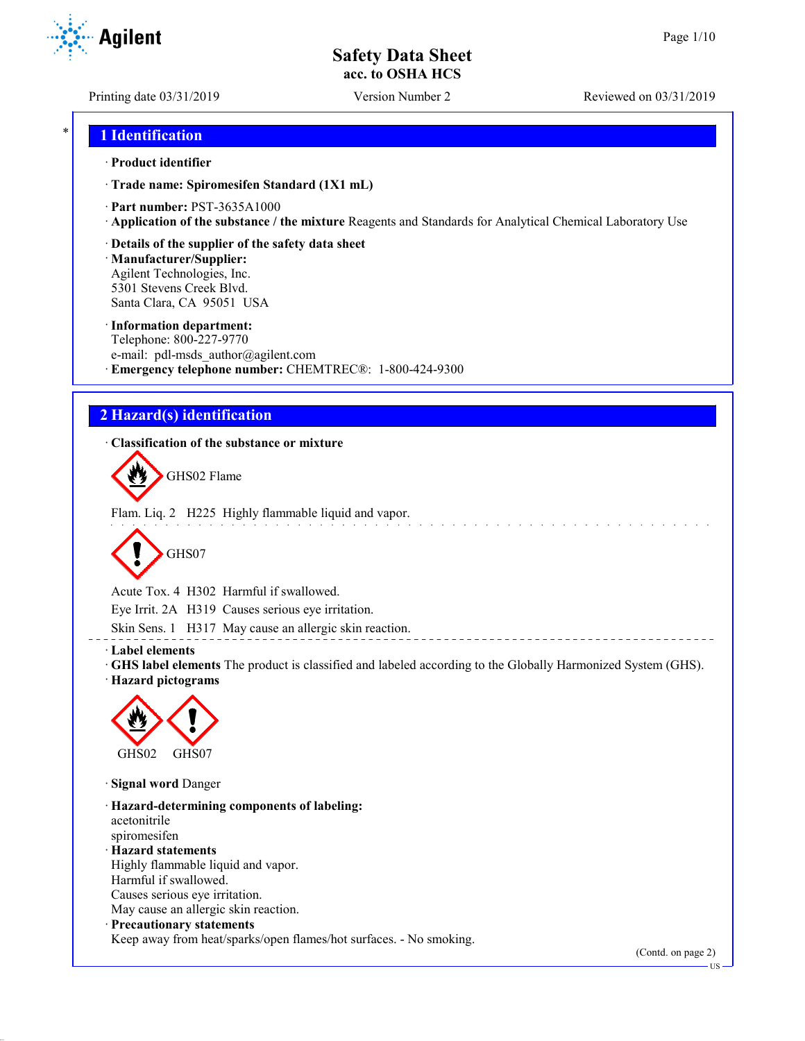Agilent

Printing date 03/31/2019 Version Number 2 Reviewed on 03/31/2019

## \* **1 Identification**

#### · **Product identifier**

· **Trade name: Spiromesifen Standard (1X1 mL)**

- · **Part number:** PST-3635A1000
- · **Application of the substance / the mixture** Reagents and Standards for Analytical Chemical Laboratory Use
- · **Details of the supplier of the safety data sheet**

· **Manufacturer/Supplier:** Agilent Technologies, Inc. 5301 Stevens Creek Blvd. Santa Clara, CA 95051 USA

#### · **Information department:**

Telephone: 800-227-9770 e-mail: pdl-msds author@agilent.com · **Emergency telephone number:** CHEMTREC®: 1-800-424-9300

## **2 Hazard(s) identification**

· **Classification of the substance or mixture**

GHS02 Flame

Flam. Liq. 2 H225 Highly flammable liquid and vapor.



Acute Tox. 4 H302 Harmful if swallowed.

Eye Irrit. 2A H319 Causes serious eye irritation.

Skin Sens. 1 H317 May cause an allergic skin reaction.

· **Label elements**

· **GHS label elements** The product is classified and labeled according to the Globally Harmonized System (GHS).

· **Hazard pictograms**



· **Signal word** Danger

· **Hazard-determining components of labeling:** acetonitrile spiromesifen · **Hazard statements** Highly flammable liquid and vapor. Harmful if swallowed. Causes serious eye irritation. May cause an allergic skin reaction. · **Precautionary statements**

Keep away from heat/sparks/open flames/hot surfaces. - No smoking.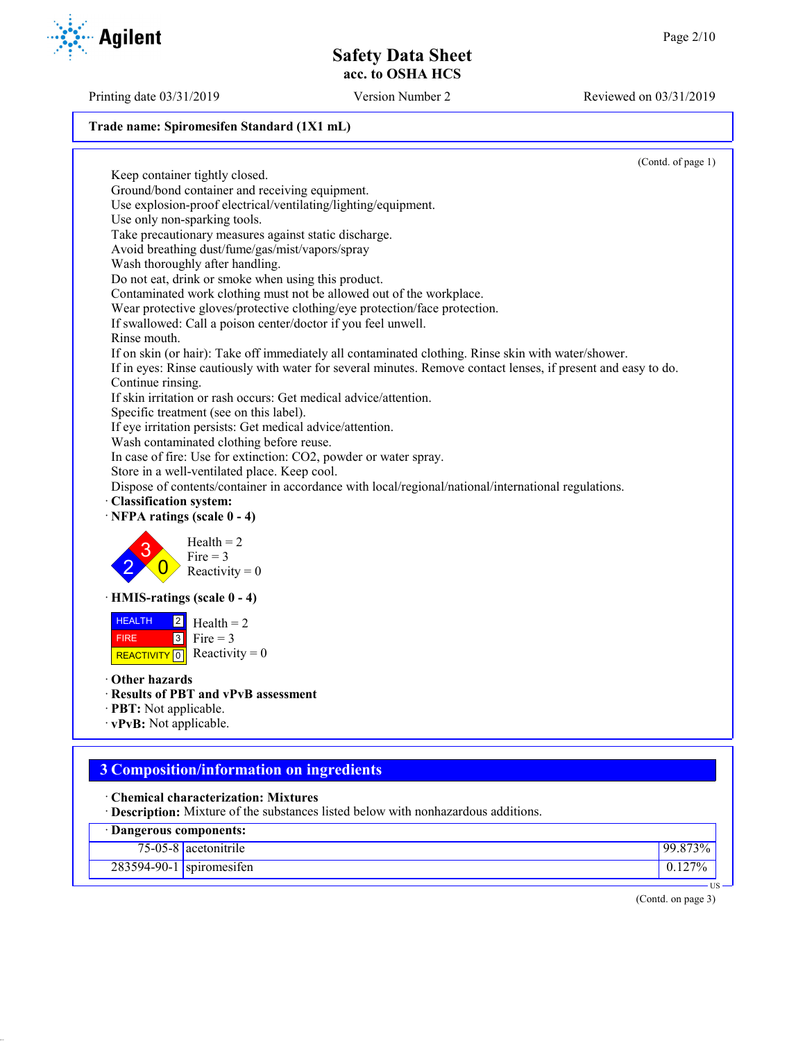Printing date 03/31/2019 Version Number 2 Reviewed on 03/31/2019

#### **Trade name: Spiromesifen Standard (1X1 mL)**

(Contd. of page 1) Keep container tightly closed. Ground/bond container and receiving equipment. Use explosion-proof electrical/ventilating/lighting/equipment. Use only non-sparking tools. Take precautionary measures against static discharge. Avoid breathing dust/fume/gas/mist/vapors/spray Wash thoroughly after handling. Do not eat, drink or smoke when using this product. Contaminated work clothing must not be allowed out of the workplace. Wear protective gloves/protective clothing/eye protection/face protection. If swallowed: Call a poison center/doctor if you feel unwell. Rinse mouth. If on skin (or hair): Take off immediately all contaminated clothing. Rinse skin with water/shower. If in eyes: Rinse cautiously with water for several minutes. Remove contact lenses, if present and easy to do. Continue rinsing. If skin irritation or rash occurs: Get medical advice/attention. Specific treatment (see on this label). If eye irritation persists: Get medical advice/attention. Wash contaminated clothing before reuse. In case of fire: Use for extinction: CO2, powder or water spray. Store in a well-ventilated place. Keep cool. Dispose of contents/container in accordance with local/regional/national/international regulations. · **Classification system:** · **NFPA ratings (scale 0 - 4)** 2 3  $\overline{0}$  $Health = 2$ Fire  $= 3$ Reactivity  $= 0$ · **HMIS-ratings (scale 0 - 4)** HEALTH FIRE REACTIVITY  $\boxed{0}$  Reactivity = 0  $|2|$  $3$  Fire = 3  $Health = 2$ · **Other hazards** · **Results of PBT and vPvB assessment** · **PBT:** Not applicable.

· **vPvB:** Not applicable.

# **3 Composition/information on ingredients**

- · **Chemical characterization: Mixtures**
- · **Description:** Mixture of the substances listed below with nonhazardous additions.

| Dangerous components: |                          |            |
|-----------------------|--------------------------|------------|
|                       | $75-05-8$ acetonitrile   | $99.873\%$ |
|                       | 283594-90-1 spiromesifen | $127\%$    |
|                       |                          | US –       |

(Contd. on page 3)



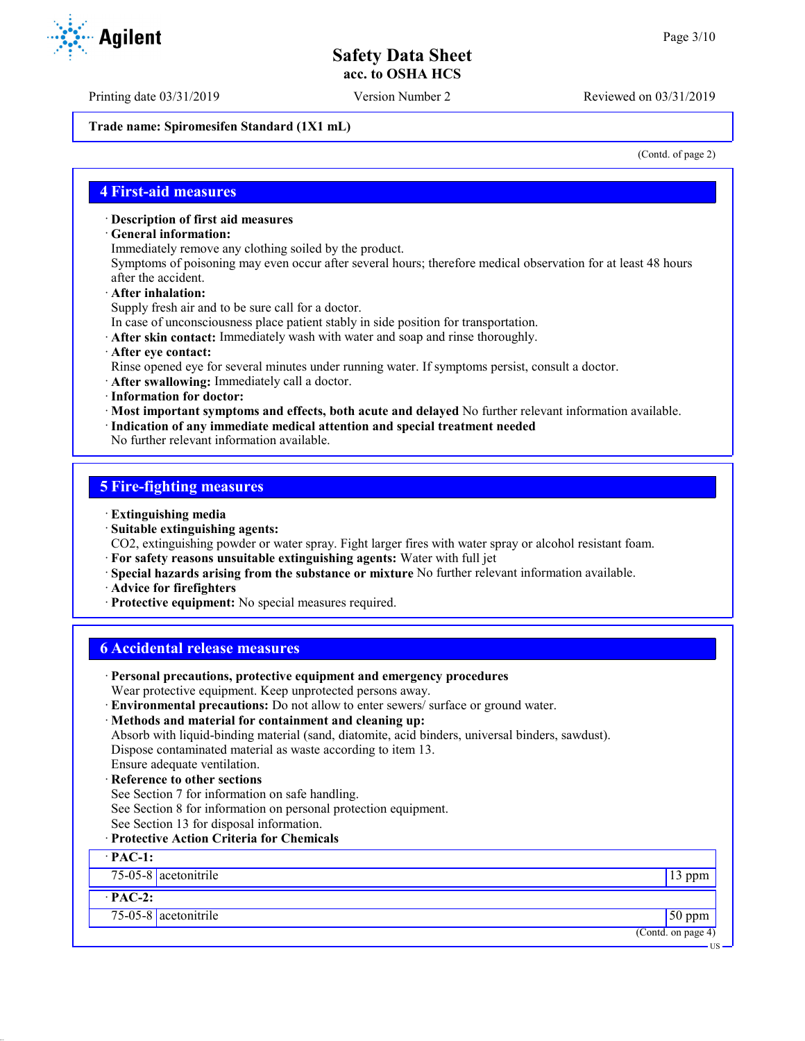Printing date 03/31/2019 Version Number 2 Reviewed on 03/31/2019

**Trade name: Spiromesifen Standard (1X1 mL)**

(Contd. of page 2)

### **4 First-aid measures**

- · **Description of first aid measures**
- · **General information:**
- Immediately remove any clothing soiled by the product.

Symptoms of poisoning may even occur after several hours; therefore medical observation for at least 48 hours after the accident.

- · **After inhalation:**
- Supply fresh air and to be sure call for a doctor.
- In case of unconsciousness place patient stably in side position for transportation.
- · **After skin contact:** Immediately wash with water and soap and rinse thoroughly.
- · **After eye contact:**
- Rinse opened eye for several minutes under running water. If symptoms persist, consult a doctor.
- · **After swallowing:** Immediately call a doctor.
- · **Information for doctor:**
- · **Most important symptoms and effects, both acute and delayed** No further relevant information available.
- · **Indication of any immediate medical attention and special treatment needed**

No further relevant information available.

#### **5 Fire-fighting measures**

- · **Extinguishing media**
- · **Suitable extinguishing agents:**
- CO2, extinguishing powder or water spray. Fight larger fires with water spray or alcohol resistant foam.
- · **For safety reasons unsuitable extinguishing agents:** Water with full jet
- · **Special hazards arising from the substance or mixture** No further relevant information available.
- · **Advice for firefighters**
- · **Protective equipment:** No special measures required.

## **6 Accidental release measures**

| · Personal precautions, protective equipment and emergency procedures                            |                    |
|--------------------------------------------------------------------------------------------------|--------------------|
| Wear protective equipment. Keep unprotected persons away.                                        |                    |
| · Environmental precautions: Do not allow to enter sewers/ surface or ground water.              |                    |
| · Methods and material for containment and cleaning up:                                          |                    |
| Absorb with liquid-binding material (sand, diatomite, acid binders, universal binders, sawdust). |                    |
| Dispose contaminated material as waste according to item 13.                                     |                    |
| Ensure adequate ventilation.                                                                     |                    |
| · Reference to other sections                                                                    |                    |
| See Section 7 for information on safe handling.                                                  |                    |
| See Section 8 for information on personal protection equipment.                                  |                    |
| See Section 13 for disposal information.                                                         |                    |
| <b>Protective Action Criteria for Chemicals</b>                                                  |                    |
| $\cdot$ PAC-1:                                                                                   |                    |
| $75-05-8$ acetonitrile                                                                           | $13$ ppm           |
| $\cdot$ PAC-2:                                                                                   |                    |
| 75-05-8 acetonitrile                                                                             | $50$ ppm           |
|                                                                                                  | (Contd. on page 4) |
|                                                                                                  | US –               |

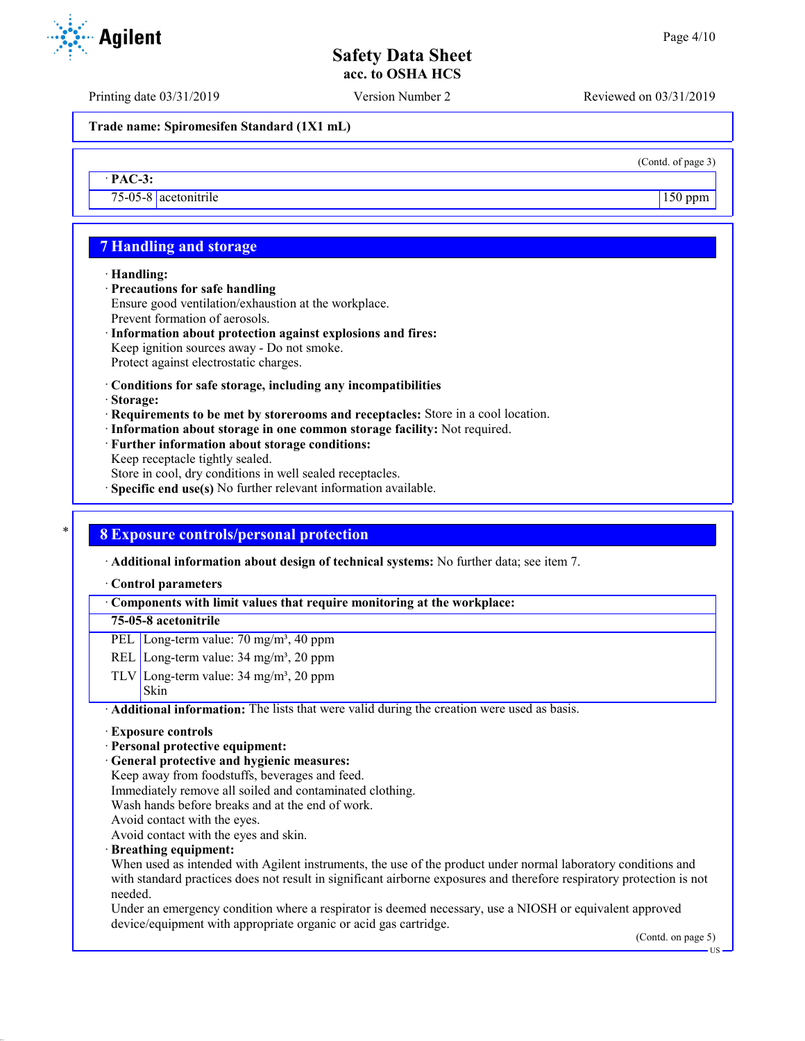Printing date 03/31/2019 Version Number 2 Reviewed on 03/31/2019

**Trade name: Spiromesifen Standard (1X1 mL)**

(Contd. of page 3)

## · **PAC-3:**

75-05-8 acetonitrile 150 ppm

## **7 Handling and storage**

#### · **Handling:**

- · **Precautions for safe handling**
- Ensure good ventilation/exhaustion at the workplace. Prevent formation of aerosols.
- · **Information about protection against explosions and fires:** Keep ignition sources away - Do not smoke. Protect against electrostatic charges.
- · **Conditions for safe storage, including any incompatibilities**
- · **Storage:**
- · **Requirements to be met by storerooms and receptacles:** Store in a cool location.
- · **Information about storage in one common storage facility:** Not required.
- · **Further information about storage conditions:** Keep receptacle tightly sealed. Store in cool, dry conditions in well sealed receptacles.
- · **Specific end use(s)** No further relevant information available.

## \* **8 Exposure controls/personal protection**

· **Additional information about design of technical systems:** No further data; see item 7.

#### · **Control parameters**

### · **Components with limit values that require monitoring at the workplace:**

## **75-05-8 acetonitrile**

- PEL Long-term value: 70 mg/m<sup>3</sup>, 40 ppm
- REL Long-term value:  $34 \text{ mg/m}^3$ ,  $20 \text{ ppm}$
- TLV Long-term value:  $34 \text{ mg/m}^3$ ,  $20 \text{ ppm}$ Skin

· **Additional information:** The lists that were valid during the creation were used as basis.

#### · **Exposure controls**

## · **Personal protective equipment:**

- · **General protective and hygienic measures:**
- Keep away from foodstuffs, beverages and feed.
- Immediately remove all soiled and contaminated clothing.
- Wash hands before breaks and at the end of work.
- Avoid contact with the eyes.

Avoid contact with the eyes and skin.

· **Breathing equipment:**

When used as intended with Agilent instruments, the use of the product under normal laboratory conditions and with standard practices does not result in significant airborne exposures and therefore respiratory protection is not needed.

Under an emergency condition where a respirator is deemed necessary, use a NIOSH or equivalent approved device/equipment with appropriate organic or acid gas cartridge.

(Contd. on page 5)

US

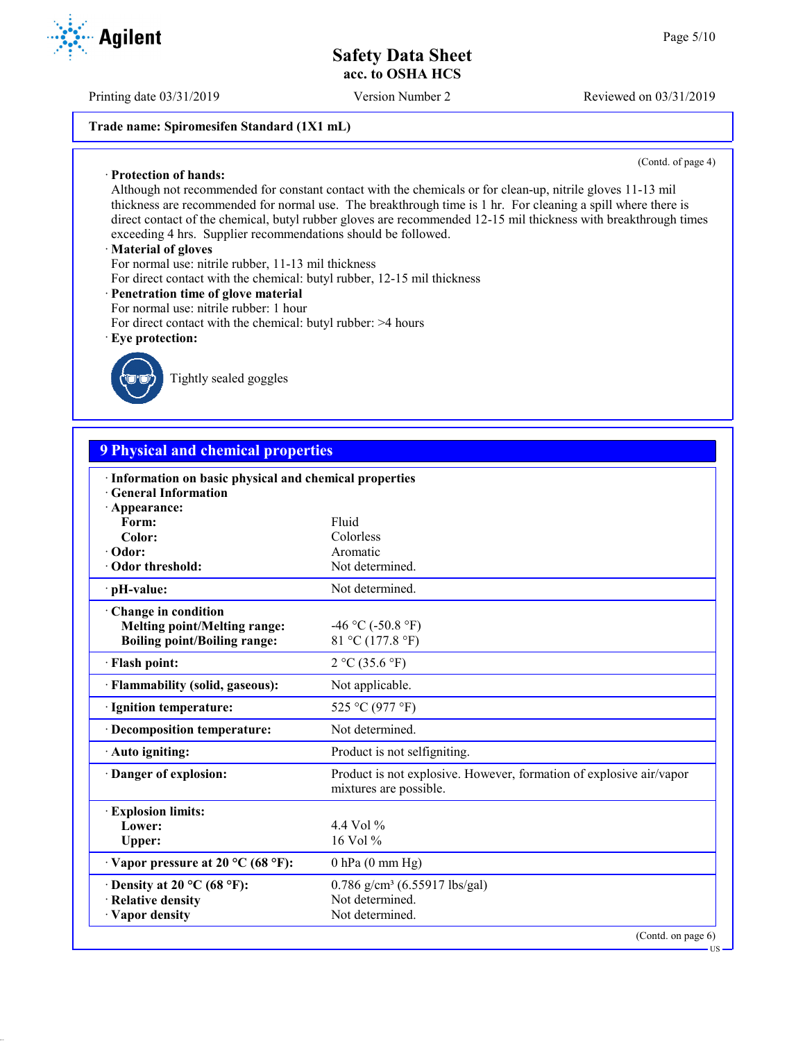Printing date 03/31/2019 Version Number 2 Reviewed on 03/31/2019

## **Trade name: Spiromesifen Standard (1X1 mL)**

(Contd. of page 4)

Although not recommended for constant contact with the chemicals or for clean-up, nitrile gloves 11-13 mil thickness are recommended for normal use. The breakthrough time is 1 hr. For cleaning a spill where there is direct contact of the chemical, butyl rubber gloves are recommended 12-15 mil thickness with breakthrough times exceeding 4 hrs. Supplier recommendations should be followed.

#### · **Material of gloves**

· **Protection of hands:**

For normal use: nitrile rubber, 11-13 mil thickness

- For direct contact with the chemical: butyl rubber, 12-15 mil thickness
- · **Penetration time of glove material**
- For normal use: nitrile rubber: 1 hour
- For direct contact with the chemical: butyl rubber: >4 hours
- · **Eye protection:**



Tightly sealed goggles

# **9 Physical and chemical properties**

| · Information on basic physical and chemical properties<br><b>Ceneral Information</b> |                                                                                               |  |
|---------------------------------------------------------------------------------------|-----------------------------------------------------------------------------------------------|--|
| · Appearance:                                                                         |                                                                                               |  |
| Form:                                                                                 | Fluid                                                                                         |  |
| Color:                                                                                | Colorless                                                                                     |  |
| $\cdot$ Odor:                                                                         | Aromatic                                                                                      |  |
| Odor threshold:                                                                       | Not determined.                                                                               |  |
| · pH-value:                                                                           | Not determined.                                                                               |  |
| Change in condition                                                                   |                                                                                               |  |
| <b>Melting point/Melting range:</b>                                                   | -46 °C (-50.8 °F)                                                                             |  |
| <b>Boiling point/Boiling range:</b>                                                   | 81 °C (177.8 °F)                                                                              |  |
| · Flash point:                                                                        | 2 °C (35.6 °F)                                                                                |  |
| · Flammability (solid, gaseous):                                                      | Not applicable.                                                                               |  |
| · Ignition temperature:                                                               | 525 °C (977 °F)                                                                               |  |
| · Decomposition temperature:                                                          | Not determined.                                                                               |  |
| · Auto igniting:                                                                      | Product is not selfigniting.                                                                  |  |
| Danger of explosion:                                                                  | Product is not explosive. However, formation of explosive air/vapor<br>mixtures are possible. |  |
| <b>Explosion limits:</b>                                                              |                                                                                               |  |
| Lower:                                                                                | 4.4 Vol $\%$                                                                                  |  |
| Upper:                                                                                | 16 Vol $%$                                                                                    |  |
| $\cdot$ Vapor pressure at 20 °C (68 °F):                                              | $0$ hPa $(0 \text{ mm Hg})$                                                                   |  |
| $\cdot$ Density at 20 °C (68 °F):                                                     | $0.786$ g/cm <sup>3</sup> (6.55917 lbs/gal)                                                   |  |
| · Relative density                                                                    | Not determined.                                                                               |  |
| · Vapor density                                                                       | Not determined.                                                                               |  |
|                                                                                       | (Contd. on page 6)                                                                            |  |
|                                                                                       | - US                                                                                          |  |

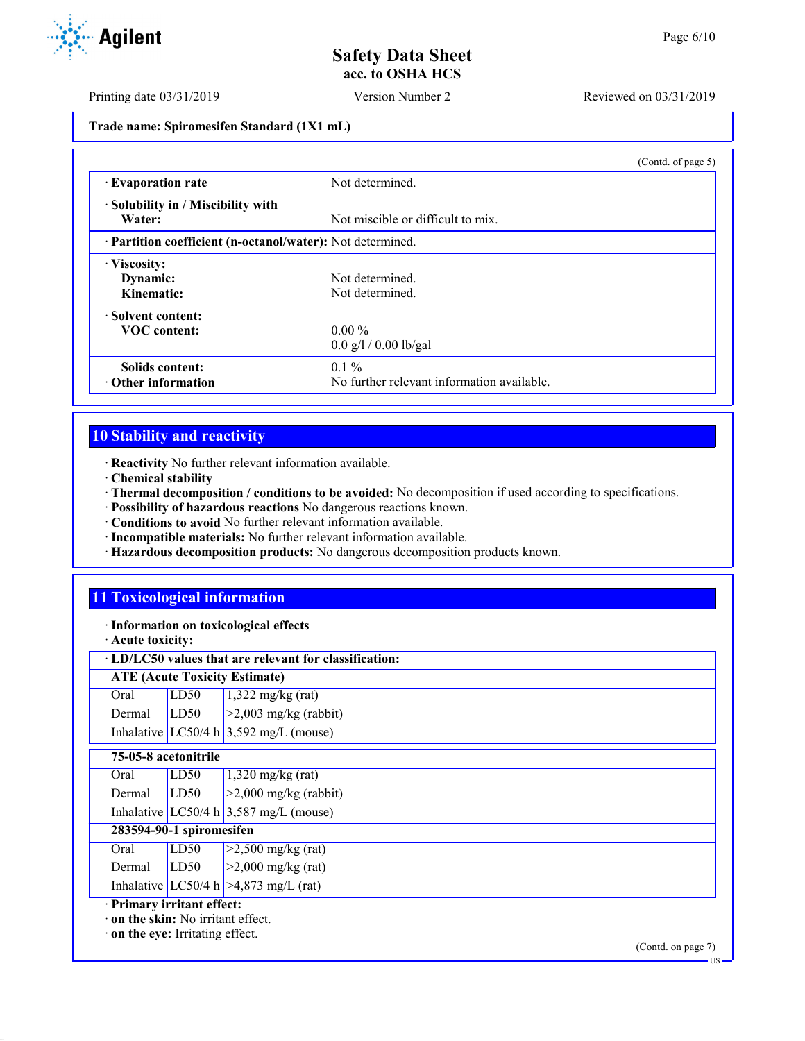Printing date 03/31/2019 Version Number 2 Reviewed on 03/31/2019

**Trade name: Spiromesifen Standard (1X1 mL)**

|                                                            |                                            | (Contd. of page 5) |
|------------------------------------------------------------|--------------------------------------------|--------------------|
| <b>Evaporation rate</b>                                    | Not determined.                            |                    |
| · Solubility in / Miscibility with<br>Water:               | Not miscible or difficult to mix.          |                    |
| · Partition coefficient (n-octanol/water): Not determined. |                                            |                    |
| · Viscosity:                                               |                                            |                    |
| Dynamic:                                                   | Not determined.                            |                    |
| Kinematic:                                                 | Not determined.                            |                    |
| Solvent content:                                           |                                            |                    |
| <b>VOC</b> content:                                        | $0.00\%$                                   |                    |
|                                                            | $0.0$ g/l / 0.00 lb/gal                    |                    |
| Solids content:                                            | $0.1\%$                                    |                    |
| $\cdot$ Other information                                  | No further relevant information available. |                    |

# **10 Stability and reactivity**

· **Reactivity** No further relevant information available.

- · **Chemical stability**
- · **Thermal decomposition / conditions to be avoided:** No decomposition if used according to specifications.
- · **Possibility of hazardous reactions** No dangerous reactions known.
- · **Conditions to avoid** No further relevant information available.
- · **Incompatible materials:** No further relevant information available.
- · **Hazardous decomposition products:** No dangerous decomposition products known.

# **11 Toxicological information**

· **Information on toxicological effects**

· **Acute toxicity:**

## · **LD/LC50 values that are relevant for classification:**

| <b>ATE (Acute Toxicity Estimate)</b> |  |                                                                                                                                          |
|--------------------------------------|--|------------------------------------------------------------------------------------------------------------------------------------------|
|                                      |  |                                                                                                                                          |
|                                      |  | Oral LD50 $1,322 \text{ mg/kg (rat)}$<br>Dermal LD50 $>2,003 \text{ mg/kg (rabbit)}$<br>Inhalative LC50/4 h $3,592 \text{ mg/L (mouse)}$ |
|                                      |  |                                                                                                                                          |

### **75-05-8 acetonitrile**

| 283594-90-1 spiromesifen<br>$\sim$ |  |                                                                                                                                    |
|------------------------------------|--|------------------------------------------------------------------------------------------------------------------------------------|
|                                    |  |                                                                                                                                    |
|                                    |  | Oral LD50 $1,320 \text{ mg/kg (rat)}$<br>Dermal LD50 $\geq 2,000 \text{ mg/kg (rabbit)}$<br>Inhalative LC50/4 h 3,587 mg/L (mouse) |
|                                    |  |                                                                                                                                    |
|                                    |  |                                                                                                                                    |

| Oral   | LD50 | $\geq$ 2,500 mg/kg (rat)                |
|--------|------|-----------------------------------------|
| Dermal | LD50 | $>2,000$ mg/kg (rat)                    |
|        |      | Inhalative LC50/4 h $>4,873$ mg/L (rat) |

· **Primary irritant effect:**

· **on the skin:** No irritant effect.

· **on the eye:** Irritating effect.

 $\overline{18}$ 

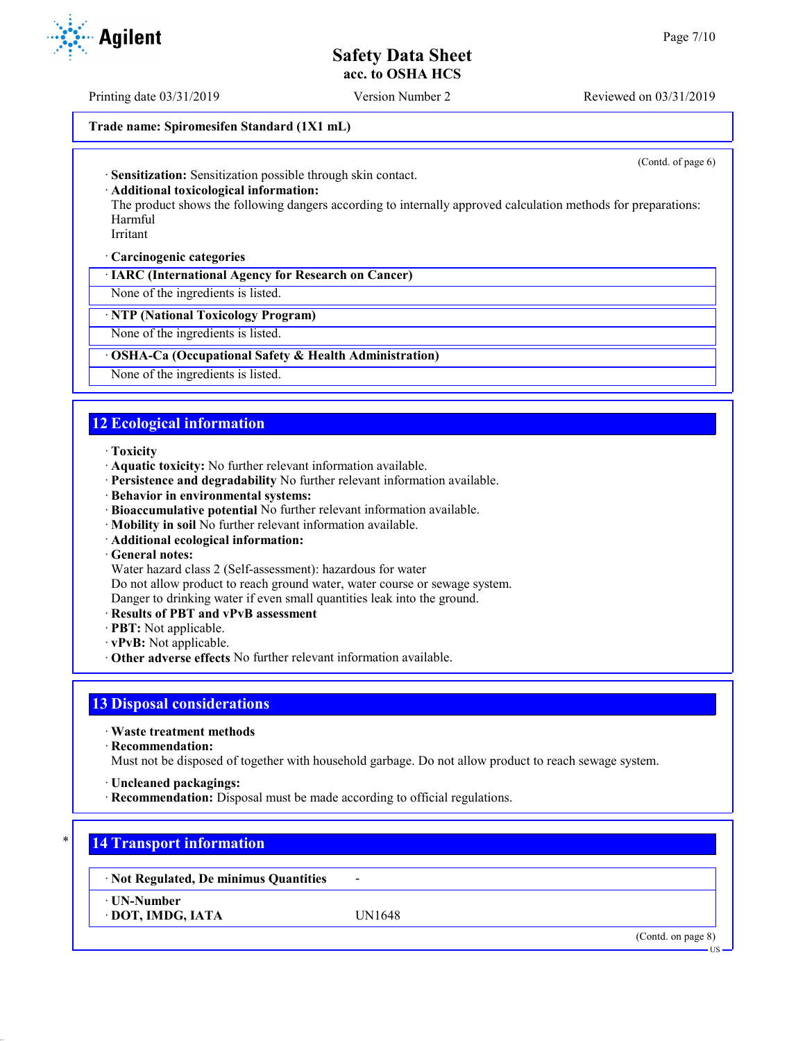Printing date 03/31/2019 Version Number 2 Reviewed on 03/31/2019

### **Trade name: Spiromesifen Standard (1X1 mL)**

(Contd. of page 6)

· **Sensitization:** Sensitization possible through skin contact.

#### · **Additional toxicological information:**

The product shows the following dangers according to internally approved calculation methods for preparations: Harmful

Irritant

#### · **Carcinogenic categories**

· **IARC (International Agency for Research on Cancer)**

None of the ingredients is listed.

### · **NTP (National Toxicology Program)**

None of the ingredients is listed.

#### · **OSHA-Ca (Occupational Safety & Health Administration)**

None of the ingredients is listed.

# **12 Ecological information**

#### · **Toxicity**

- · **Aquatic toxicity:** No further relevant information available.
- · **Persistence and degradability** No further relevant information available.
- · **Behavior in environmental systems:**
- · **Bioaccumulative potential** No further relevant information available.
- · **Mobility in soil** No further relevant information available.
- · **Additional ecological information:**
- · **General notes:**

Water hazard class 2 (Self-assessment): hazardous for water

Do not allow product to reach ground water, water course or sewage system.

- Danger to drinking water if even small quantities leak into the ground.
- · **Results of PBT and vPvB assessment**
- · **PBT:** Not applicable.
- · **vPvB:** Not applicable.
- · **Other adverse effects** No further relevant information available.

## **13 Disposal considerations**

· **Waste treatment methods**

· **Recommendation:**

Must not be disposed of together with household garbage. Do not allow product to reach sewage system.

- · **Uncleaned packagings:**
- · **Recommendation:** Disposal must be made according to official regulations.

## **14 Transport information**

· **Not Regulated, De minimus Quantities** -

· **UN-Number**

· **DOT, IMDG, IATA** UN1648

(Contd. on page 8)

**TIC** 

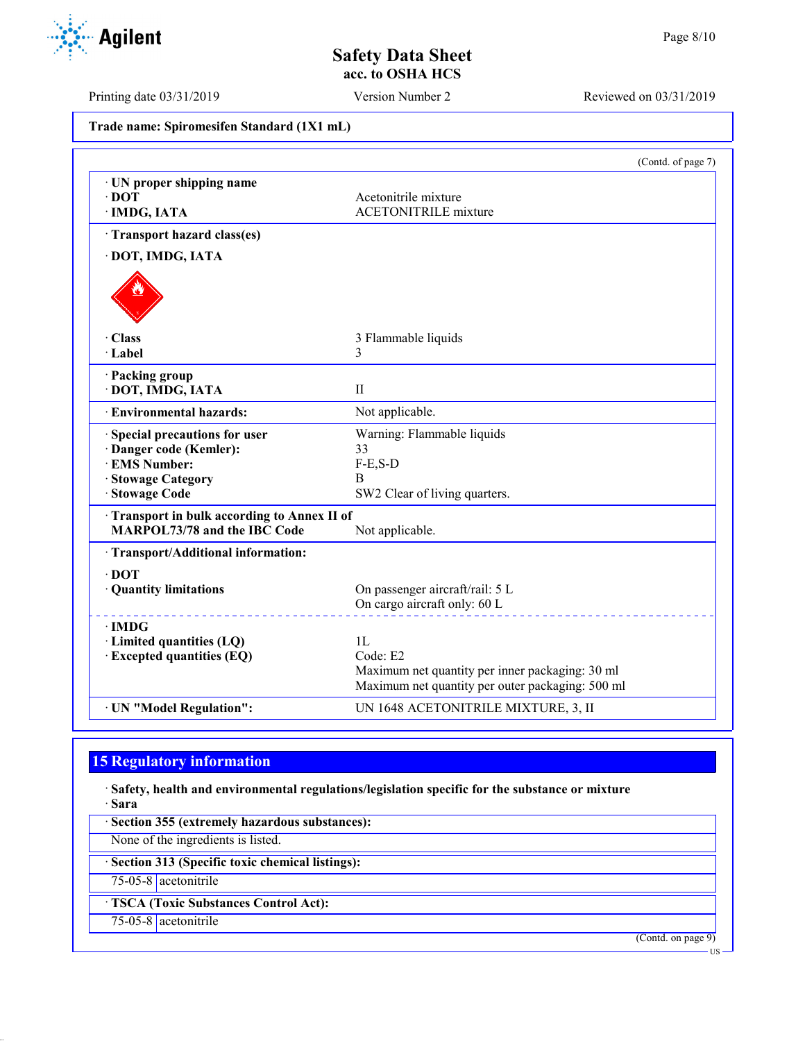Printing date 03/31/2019 Version Number 2 Reviewed on 03/31/2019

**Trade name: Spiromesifen Standard (1X1 mL)**

|                                                              | (Contd. of page 7)                                  |
|--------------------------------------------------------------|-----------------------------------------------------|
| · UN proper shipping name                                    |                                                     |
| $\cdot$ DOT                                                  | Acetonitrile mixture<br><b>ACETONITRILE</b> mixture |
| · IMDG, IATA                                                 |                                                     |
| Transport hazard class(es)                                   |                                                     |
| · DOT, IMDG, IATA                                            |                                                     |
|                                                              |                                                     |
| · Class                                                      | 3 Flammable liquids                                 |
| · Label                                                      | 3                                                   |
| · Packing group                                              |                                                     |
| · DOT, IMDG, IATA                                            | $_{\rm II}$                                         |
| · Environmental hazards:                                     | Not applicable.                                     |
| · Special precautions for user<br>Warning: Flammable liquids |                                                     |
| · Danger code (Kemler):                                      | 33                                                  |
| · EMS Number:                                                | $F-E,S-D$                                           |
| · Stowage Category                                           | В                                                   |
| · Stowage Code                                               | SW2 Clear of living quarters.                       |
| Transport in bulk according to Annex II of                   |                                                     |
| <b>MARPOL73/78 and the IBC Code</b>                          | Not applicable.                                     |
| · Transport/Additional information:                          |                                                     |
| $\cdot$ DOT                                                  |                                                     |
| · Quantity limitations                                       | On passenger aircraft/rail: 5 L                     |
|                                                              | On cargo aircraft only: 60 L                        |
| $\cdot$ IMDG                                                 |                                                     |
| · Limited quantities (LQ)                                    | 1L                                                  |
| · Excepted quantities (EQ)                                   | Code: E2                                            |
|                                                              | Maximum net quantity per inner packaging: 30 ml     |
|                                                              | Maximum net quantity per outer packaging: 500 ml    |
| · UN "Model Regulation":                                     | UN 1648 ACETONITRILE MIXTURE, 3, II                 |

# **15 Regulatory information**

· **Safety, health and environmental regulations/legislation specific for the substance or mixture** · **Sara**

· **Section 355 (extremely hazardous substances):**

None of the ingredients is listed.

· **Section 313 (Specific toxic chemical listings):**

75-05-8 acetonitrile

· **TSCA (Toxic Substances Control Act):**

75-05-8 acetonitrile

(Contd. on page 9)

US

Agilent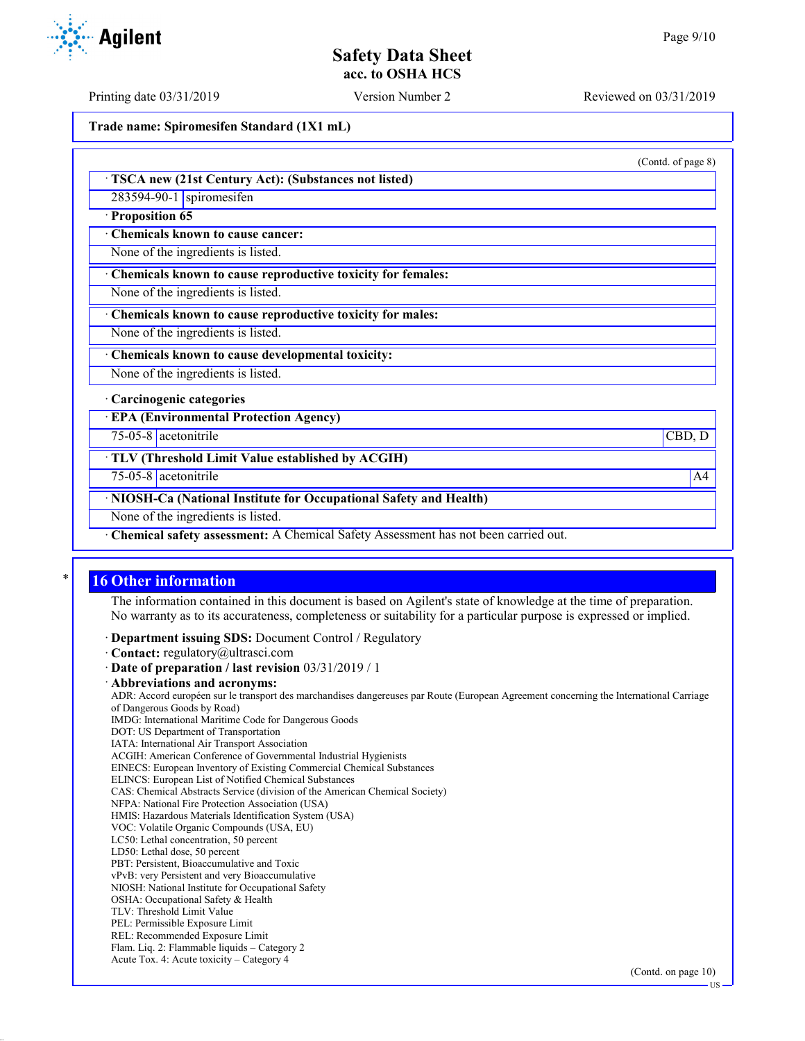Printing date 03/31/2019 Version Number 2 Reviewed on 03/31/2019

**Trade name: Spiromesifen Standard (1X1 mL)**

· **TSCA new (21st Century Act): (Substances not listed)**

283594-90-1 spiromesifen

· **Proposition 65**

· **Chemicals known to cause cancer:**

None of the ingredients is listed.

· **Chemicals known to cause reproductive toxicity for females:**

None of the ingredients is listed.

· **Chemicals known to cause reproductive toxicity for males:**

None of the ingredients is listed.

· **Chemicals known to cause developmental toxicity:**

None of the ingredients is listed.

· **Carcinogenic categories**

· **EPA (Environmental Protection Agency)**

75-05-8 acetonitrile CBD, D

· **TLV (Threshold Limit Value established by ACGIH)**

75-05-8 acetonitrile A4

· **NIOSH-Ca (National Institute for Occupational Safety and Health)**

None of the ingredients is listed.

· **Chemical safety assessment:** A Chemical Safety Assessment has not been carried out.

## **16 Other information**

The information contained in this document is based on Agilent's state of knowledge at the time of preparation. No warranty as to its accurateness, completeness or suitability for a particular purpose is expressed or implied.

· **Department issuing SDS:** Document Control / Regulatory

· **Contact:** regulatory@ultrasci.com

· **Date of preparation / last revision** 03/31/2019 / 1

· **Abbreviations and acronyms:**

ADR: Accord européen sur le transport des marchandises dangereuses par Route (European Agreement concerning the International Carriage of Dangerous Goods by Road)

IMDG: International Maritime Code for Dangerous Goods

- DOT: US Department of Transportation
- IATA: International Air Transport Association

ACGIH: American Conference of Governmental Industrial Hygienists EINECS: European Inventory of Existing Commercial Chemical Substances

ELINCS: European List of Notified Chemical Substances

CAS: Chemical Abstracts Service (division of the American Chemical Society)

NFPA: National Fire Protection Association (USA)

HMIS: Hazardous Materials Identification System (USA)

VOC: Volatile Organic Compounds (USA, EU) LC50: Lethal concentration, 50 percent

LD50: Lethal dose, 50 percent

PBT: Persistent, Bioaccumulative and Toxic

vPvB: very Persistent and very Bioaccumulative

NIOSH: National Institute for Occupational Safety

OSHA: Occupational Safety & Health

TLV: Threshold Limit Value

PEL: Permissible Exposure Limit

REL: Recommended Exposure Limit

Flam. Liq. 2: Flammable liquids – Category 2 Acute Tox. 4: Acute toxicity – Category 4



(Contd. of page 8)